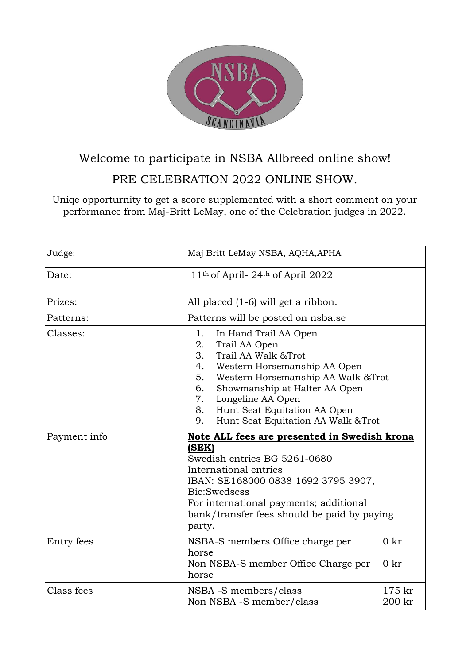

# Welcome to participate in NSBA Allbreed online show!

#### PRE CELEBRATION 2022 ONLINE SHOW.

Uniqe opporturnity to get a score supplemented with a short comment on your performance from Maj-Britt LeMay, one of the Celebration judges in 2022.

| Judge:       | Maj Britt LeMay NSBA, AQHA, APHA                                                                                                                                                                                                                                                                                        |            |
|--------------|-------------------------------------------------------------------------------------------------------------------------------------------------------------------------------------------------------------------------------------------------------------------------------------------------------------------------|------------|
| Date:        | 11 <sup>th</sup> of April-24 <sup>th</sup> of April 2022                                                                                                                                                                                                                                                                |            |
| Prizes:      | All placed (1-6) will get a ribbon.                                                                                                                                                                                                                                                                                     |            |
| Patterns:    | Patterns will be posted on nsba.se                                                                                                                                                                                                                                                                                      |            |
| Classes:     | In Hand Trail AA Open<br>1.<br>2.<br>Trail AA Open<br>3.<br>Trail AA Walk & Trot<br>4.<br>Western Horsemanship AA Open<br>5.<br>Western Horsemanship AA Walk & Trot<br>Showmanship at Halter AA Open<br>6.<br>7.<br>Longeline AA Open<br>Hunt Seat Equitation AA Open<br>8.<br>Hunt Seat Equitation AA Walk &Trot<br>9. |            |
|              |                                                                                                                                                                                                                                                                                                                         |            |
| Payment info | Note ALL fees are presented in Swedish krona<br>(SEK)<br>Swedish entries BG 5261-0680<br>International entries<br>IBAN: SE168000 0838 1692 3795 3907,<br>Bic:Swedsess<br>For international payments; additional<br>bank/transfer fees should be paid by paying<br>party.                                                |            |
| Entry fees   | NSBA-S members Office charge per<br>horse<br>Non NSBA-S member Office Charge per<br>horse                                                                                                                                                                                                                               | 0kr<br>0kr |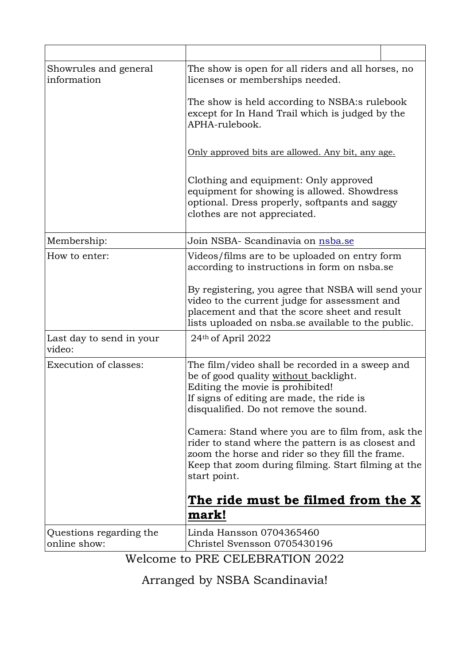| Showrules and general<br>information    | The show is open for all riders and all horses, no<br>licenses or memberships needed.                                                                                                                                              |  |
|-----------------------------------------|------------------------------------------------------------------------------------------------------------------------------------------------------------------------------------------------------------------------------------|--|
|                                         | The show is held according to NSBA:s rulebook<br>except for In Hand Trail which is judged by the<br>APHA-rulebook.                                                                                                                 |  |
|                                         | Only approved bits are allowed. Any bit, any age.                                                                                                                                                                                  |  |
|                                         | Clothing and equipment: Only approved<br>equipment for showing is allowed. Showdress<br>optional. Dress properly, softpants and saggy<br>clothes are not appreciated.                                                              |  |
| Membership:                             | Join NSBA- Scandinavia on nsba.se                                                                                                                                                                                                  |  |
| How to enter:                           | Videos/films are to be uploaded on entry form<br>according to instructions in form on nsba.se                                                                                                                                      |  |
|                                         | By registering, you agree that NSBA will send your<br>video to the current judge for assessment and<br>placement and that the score sheet and result<br>lists uploaded on nsba.se available to the public.                         |  |
| Last day to send in your<br>video:      | 24th of April 2022                                                                                                                                                                                                                 |  |
| <b>Execution of classes:</b>            | The film/video shall be recorded in a sweep and<br>be of good quality without backlight.<br>Editing the movie is prohibited!<br>If signs of editing are made, the ride is<br>disqualified. Do not remove the sound.                |  |
|                                         | Camera: Stand where you are to film from, ask the<br>rider to stand where the pattern is as closest and<br>zoom the horse and rider so they fill the frame.<br>Keep that zoom during filming. Start filming at the<br>start point. |  |
|                                         | The ride must be filmed from the X<br>mark!                                                                                                                                                                                        |  |
| Questions regarding the<br>online show: | Linda Hansson 0704365460<br>Christel Svensson 0705430196<br>Welcome to DRE CEI FRRATION 2022                                                                                                                                       |  |

Welcome to PRE CELEBRATION 2022

Arranged by NSBA Scandinavia!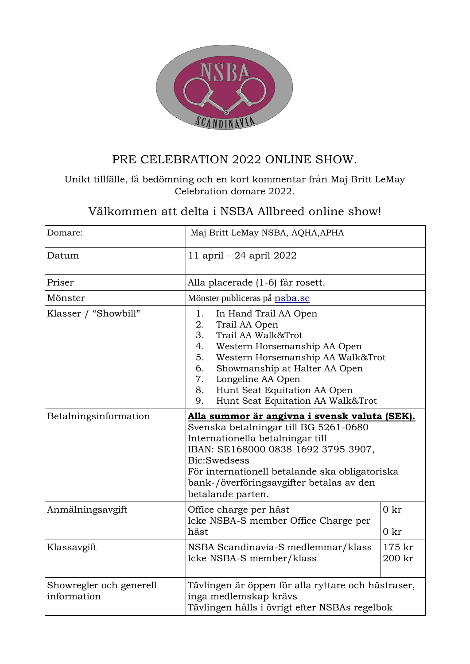

## PRE CELEBRATION 2022 ONLINE SHOW.

#### Unikt tillfälle, få bedömning och en kort kommentar från Maj Britt LeMay Celebration domare 2022.

## Välkommen att delta i NSBA Allbreed online show!

| Domare:                                | Maj Britt LeMay NSBA, AQHA, APHA                                                                                                                                                                                                                                                                                   |                    |
|----------------------------------------|--------------------------------------------------------------------------------------------------------------------------------------------------------------------------------------------------------------------------------------------------------------------------------------------------------------------|--------------------|
| Datum                                  | 11 april – 24 april 2022                                                                                                                                                                                                                                                                                           |                    |
| Priser                                 | Alla placerade (1-6) får rosett.                                                                                                                                                                                                                                                                                   |                    |
| Mönster                                | Mönster publiceras på nsba.se                                                                                                                                                                                                                                                                                      |                    |
| Klasser / "Showbill"                   | 1.<br>In Hand Trail AA Open<br>2.<br>Trail AA Open<br>3.<br>Trail AA Walk&Trot<br>4.<br>Western Horsemanship AA Open<br>Western Horsemanship AA Walk&Trot<br>5.<br>Showmanship at Halter AA Open<br>6.<br>Longeline AA Open<br>7.<br>Hunt Seat Equitation AA Open<br>8.<br>Hunt Seat Equitation AA Walk&Trot<br>9. |                    |
| Betalningsinformation                  | Alla summor är angivna i svensk valuta (SEK).<br>Svenska betalningar till BG 5261-0680<br>Internationella betalningar till<br>IBAN: SE168000 0838 1692 3795 3907,<br>Bic:Swedsess<br>För internationell betalande ska obligatoriska<br>bank-/överföringsavgifter betalas av den<br>betalande parten.               |                    |
| Anmälningsavgift                       | Office charge per häst<br>Icke NSBA-S member Office Charge per<br>häst                                                                                                                                                                                                                                             | 0kr<br>0kr         |
| Klassavgift                            | NSBA Scandinavia-S medlemmar/klass<br>Icke NSBA-S member/klass                                                                                                                                                                                                                                                     | $175$ kr<br>200 kr |
| Showregler och generell<br>information | Tävlingen är öppen för alla ryttare och hästraser,<br>inga medlemskap krävs<br>Tävlingen hålls i övrigt efter NSBAs regelbok                                                                                                                                                                                       |                    |